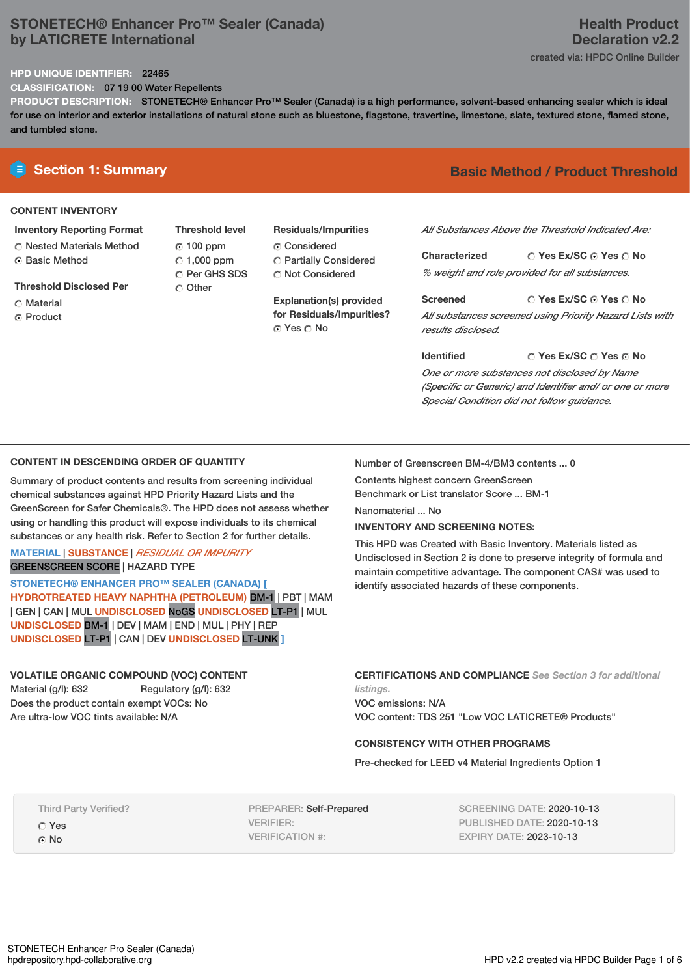# **STONETECH® Enhancer Pro™ Sealer (Canada) by LATICRETE International**

# **Health Product Declaration v2.2**

created via: HPDC Online Builder

### **HPD UNIQUE IDENTIFIER:** 22465

**CLASSIFICATION:** 07 19 00 Water Repellents

**PRODUCT DESCRIPTION:** STONETECH® Enhancer Pro™ Sealer (Canada) is a high performance, solvent-based enhancing sealer which is ideal for use on interior and exterior installations of natural stone such as bluestone, flagstone, travertine, limestone, slate, textured stone, flamed stone, and tumbled stone.

### **CONTENT INVENTORY**

### **Inventory Reporting Format**

**C** Nested Materials Method ⊙ Basic Method

**Threshold Disclosed Per**

- C Material
- C Product

**Threshold level** 100 ppm  $\degree$  1,000 ppm C Per GHS SDS Other

# **Residuals/Impurities**

Considered Partially Considered C Not Considered

**Explanation(s) provided for Residuals/Impurities?** © Yes ○ No

# **E** Section 1: Summary **Basic Method / Product Threshold**

*All Substances Above the Threshold Indicated Are:*

**Yes Ex/SC Yes No Characterized** *% weight and role provided for all substances.*

**Yes Ex/SC Yes No Screened** *All substances screened using Priority Hazard Lists with results disclosed.*

**Yes Ex/SC Yes No Identified** *One or more substances not disclosed by Name (Specific or Generic) and Identifier and/ or one or more Special Condition did not follow guidance.*

### **CONTENT IN DESCENDING ORDER OF QUANTITY**

Summary of product contents and results from screening individual chemical substances against HPD Priority Hazard Lists and the GreenScreen for Safer Chemicals®. The HPD does not assess whether using or handling this product will expose individuals to its chemical substances or any health risk. Refer to Section 2 for further details.

### **MATERIAL** | **SUBSTANCE** | *RESIDUAL OR IMPURITY* GREENSCREEN SCORE | HAZARD TYPE

**STONETECH® ENHANCER PRO™ SEALER (CANADA) [ HYDROTREATED HEAVY NAPHTHA (PETROLEUM)** BM-1 | PBT | MAM | GEN | CAN | MUL **UNDISCLOSED** NoGS **UNDISCLOSED** LT-P1 | MUL **UNDISCLOSED** BM-1 | DEV | MAM | END | MUL | PHY | REP **UNDISCLOSED** LT-P1 | CAN | DEV **UNDISCLOSED** LT-UNK **]**

# **VOLATILE ORGANIC COMPOUND (VOC) CONTENT**

Material (g/l): 632 Regulatory (g/l): 632 Does the product contain exempt VOCs: No Are ultra-low VOC tints available: N/A

Number of Greenscreen BM-4/BM3 contents ... 0

Contents highest concern GreenScreen Benchmark or List translator Score ... BM-1

Nanomaterial ... No

### **INVENTORY AND SCREENING NOTES:**

This HPD was Created with Basic Inventory. Materials listed as Undisclosed in Section 2 is done to preserve integrity of formula and maintain competitive advantage. The component CAS# was used to identify associated hazards of these components.

**CERTIFICATIONS AND COMPLIANCE** *See Section 3 for additional listings.*

VOC emissions: N/A VOC content: TDS 251 "Low VOC LATICRETE® Products"

### **CONSISTENCY WITH OTHER PROGRAMS**

Pre-checked for LEED v4 Material Ingredients Option 1

Third Party Verified?

Yes ⊙ No

PREPARER: Self-Prepared VERIFIER: VERIFICATION #:

SCREENING DATE: 2020-10-13 PUBLISHED DATE: 2020-10-13 EXPIRY DATE: 2023-10-13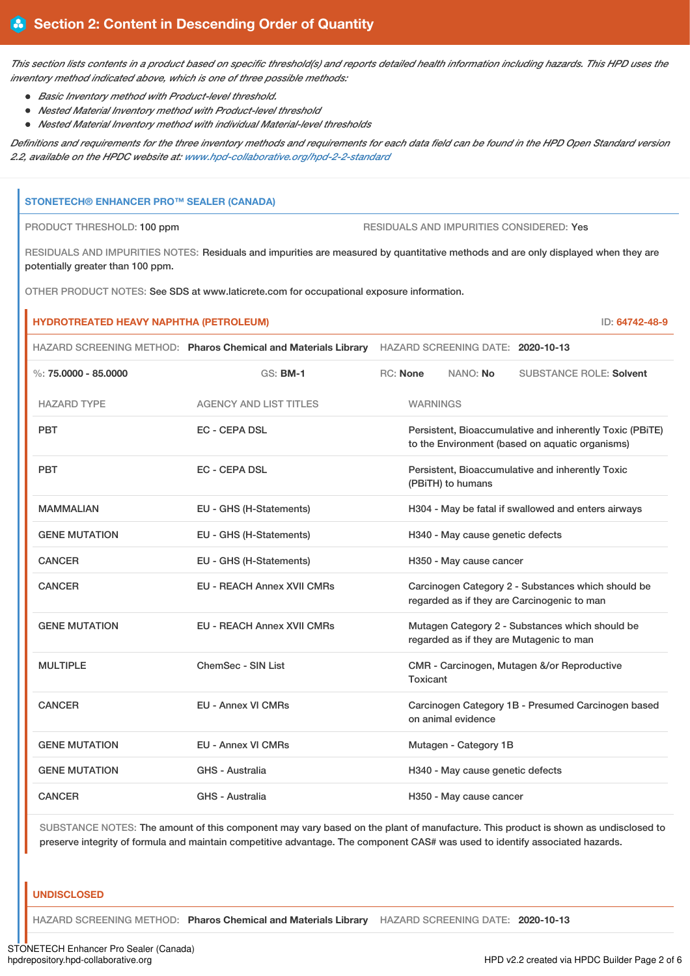This section lists contents in a product based on specific threshold(s) and reports detailed health information including hazards. This HPD uses the *inventory method indicated above, which is one of three possible methods:*

- *Basic Inventory method with Product-level threshold.*
- *Nested Material Inventory method with Product-level threshold*
- *Nested Material Inventory method with individual Material-level thresholds*

Definitions and requirements for the three inventory methods and requirements for each data field can be found in the HPD Open Standard version *2.2, available on the HPDC website at: [www.hpd-collaborative.org/hpd-2-2-standard](https://www.hpd-collaborative.org/hpd-2-2-standard)*

### **STONETECH® ENHANCER PRO™ SEALER (CANADA)**

ń

PRODUCT THRESHOLD: 100 ppm RESIDUALS AND IMPURITIES CONSIDERED: Yes

RESIDUALS AND IMPURITIES NOTES: Residuals and impurities are measured by quantitative methods and are only displayed when they are potentially greater than 100 ppm.

OTHER PRODUCT NOTES: See SDS at www.laticrete.com for occupational exposure information.

| <b>HYDROTREATED HEAVY NAPHTHA (PETROLEUM)</b><br>ID: 64742-48-9 |                                                                                                  |                                                     |                                  |                                                                                                             |
|-----------------------------------------------------------------|--------------------------------------------------------------------------------------------------|-----------------------------------------------------|----------------------------------|-------------------------------------------------------------------------------------------------------------|
|                                                                 | HAZARD SCREENING METHOD: Pharos Chemical and Materials Library HAZARD SCREENING DATE: 2020-10-13 |                                                     |                                  |                                                                                                             |
| $\%$ : 75.0000 - 85.0000                                        | <b>GS: BM-1</b>                                                                                  | <b>RC: None</b>                                     | NANO: No                         | <b>SUBSTANCE ROLE: Solvent</b>                                                                              |
| <b>HAZARD TYPE</b>                                              | <b>AGENCY AND LIST TITLES</b>                                                                    |                                                     | <b>WARNINGS</b>                  |                                                                                                             |
| <b>PBT</b>                                                      | <b>EC - CEPA DSL</b>                                                                             |                                                     |                                  | Persistent, Bioaccumulative and inherently Toxic (PBiTE)<br>to the Environment (based on aquatic organisms) |
| <b>PBT</b>                                                      | <b>EC - CEPA DSL</b>                                                                             |                                                     | (PBiTH) to humans                | Persistent, Bioaccumulative and inherently Toxic                                                            |
| <b>MAMMALIAN</b>                                                | EU - GHS (H-Statements)                                                                          | H304 - May be fatal if swallowed and enters airways |                                  |                                                                                                             |
| <b>GENE MUTATION</b>                                            | EU - GHS (H-Statements)                                                                          | H340 - May cause genetic defects                    |                                  |                                                                                                             |
| <b>CANCER</b>                                                   | EU - GHS (H-Statements)                                                                          |                                                     | H350 - May cause cancer          |                                                                                                             |
| <b>CANCER</b>                                                   | <b>EU - REACH Annex XVII CMRs</b>                                                                |                                                     |                                  | Carcinogen Category 2 - Substances which should be<br>regarded as if they are Carcinogenic to man           |
| <b>GENE MUTATION</b>                                            | <b>EU - REACH Annex XVII CMRs</b>                                                                |                                                     |                                  | Mutagen Category 2 - Substances which should be<br>regarded as if they are Mutagenic to man                 |
| <b>MULTIPLE</b>                                                 | ChemSec - SIN List                                                                               |                                                     | Toxicant                         | CMR - Carcinogen, Mutagen &/or Reproductive                                                                 |
| <b>CANCER</b>                                                   | <b>EU - Annex VI CMRs</b>                                                                        |                                                     | on animal evidence               | Carcinogen Category 1B - Presumed Carcinogen based                                                          |
| <b>GENE MUTATION</b>                                            | <b>EU - Annex VI CMRs</b>                                                                        |                                                     | Mutagen - Category 1B            |                                                                                                             |
| <b>GENE MUTATION</b>                                            | GHS - Australia                                                                                  |                                                     | H340 - May cause genetic defects |                                                                                                             |
| <b>CANCER</b>                                                   | <b>GHS - Australia</b>                                                                           |                                                     | H350 - May cause cancer          |                                                                                                             |

SUBSTANCE NOTES: The amount of this component may vary based on the plant of manufacture. This product is shown as undisclosed to preserve integrity of formula and maintain competitive advantage. The component CAS# was used to identify associated hazards.

### **UNDISCLOSED**

HAZARD SCREENING METHOD: **Pharos Chemical and Materials Library** HAZARD SCREENING DATE: **2020-10-13**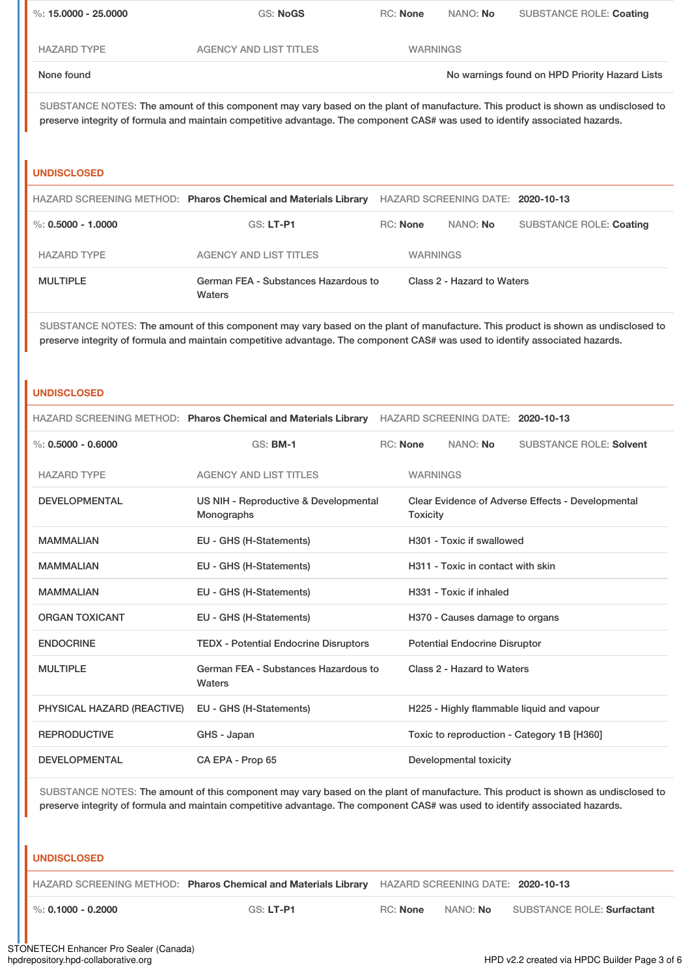| %: 15,0000 - 25,0000 | GS: NoGS                      | <b>RC:</b> None | NANO: No | <b>SUBSTANCE ROLE: Coating</b>                 |
|----------------------|-------------------------------|-----------------|----------|------------------------------------------------|
| <b>HAZARD TYPE</b>   | <b>AGENCY AND LIST TITLES</b> | <b>WARNINGS</b> |          |                                                |
| None found           |                               |                 |          | No warnings found on HPD Priority Hazard Lists |

SUBSTANCE NOTES: The amount of this component may vary based on the plant of manufacture. This product is shown as undisclosed to preserve integrity of formula and maintain competitive advantage. The component CAS# was used to identify associated hazards.

### **UNDISCLOSED**

|                      | HAZARD SCREENING METHOD: Pharos Chemical and Materials Library |                 | HAZARD SCREENING DATE: 2020-10-13 |                                |  |
|----------------------|----------------------------------------------------------------|-----------------|-----------------------------------|--------------------------------|--|
| %: $0.5000 - 1.0000$ | GS: LT-P1                                                      | RC: None        | NANO: No                          | <b>SUBSTANCE ROLE: Coating</b> |  |
| <b>HAZARD TYPE</b>   | AGENCY AND LIST TITLES                                         | <b>WARNINGS</b> |                                   |                                |  |
| <b>MULTIPLE</b>      | German FEA - Substances Hazardous to<br>Waters                 |                 | Class 2 - Hazard to Waters        |                                |  |

SUBSTANCE NOTES: The amount of this component may vary based on the plant of manufacture. This product is shown as undisclosed to preserve integrity of formula and maintain competitive advantage. The component CAS# was used to identify associated hazards.

### **UNDISCLOSED**

|                            | HAZARD SCREENING METHOD: Pharos Chemical and Materials Library HAZARD SCREENING DATE: 2020-10-13 |  |                            |                                      |                                                   |
|----------------------------|--------------------------------------------------------------------------------------------------|--|----------------------------|--------------------------------------|---------------------------------------------------|
| $\%: 0.5000 - 0.6000$      | <b>GS: BM-1</b>                                                                                  |  | <b>RC: None</b>            | NANO: No                             | <b>SUBSTANCE ROLE: Solvent</b>                    |
| <b>HAZARD TYPE</b>         | <b>AGENCY AND LIST TITLES</b>                                                                    |  | <b>WARNINGS</b>            |                                      |                                                   |
| <b>DEVELOPMENTAL</b>       | US NIH - Reproductive & Developmental<br>Monographs                                              |  | <b>Toxicity</b>            |                                      | Clear Evidence of Adverse Effects - Developmental |
| <b>MAMMALIAN</b>           | EU - GHS (H-Statements)                                                                          |  |                            | H301 - Toxic if swallowed            |                                                   |
| <b>MAMMALIAN</b>           | EU - GHS (H-Statements)                                                                          |  |                            | H311 - Toxic in contact with skin    |                                                   |
| <b>MAMMALIAN</b>           | EU - GHS (H-Statements)                                                                          |  |                            | H331 - Toxic if inhaled              |                                                   |
| <b>ORGAN TOXICANT</b>      | EU - GHS (H-Statements)                                                                          |  |                            | H370 - Causes damage to organs       |                                                   |
| <b>ENDOCRINE</b>           | <b>TEDX - Potential Endocrine Disruptors</b>                                                     |  |                            | <b>Potential Endocrine Disruptor</b> |                                                   |
| <b>MULTIPLE</b>            | German FEA - Substances Hazardous to<br>Waters                                                   |  | Class 2 - Hazard to Waters |                                      |                                                   |
| PHYSICAL HAZARD (REACTIVE) | EU - GHS (H-Statements)                                                                          |  |                            |                                      | H225 - Highly flammable liquid and vapour         |
| <b>REPRODUCTIVE</b>        | GHS - Japan                                                                                      |  |                            |                                      | Toxic to reproduction - Category 1B [H360]        |
| <b>DEVELOPMENTAL</b>       | CA EPA - Prop 65                                                                                 |  |                            | Developmental toxicity               |                                                   |

SUBSTANCE NOTES: The amount of this component may vary based on the plant of manufacture. This product is shown as undisclosed to preserve integrity of formula and maintain competitive advantage. The component CAS# was used to identify associated hazards.

### **UNDISCLOSED**

HAZARD SCREENING METHOD: **Pharos Chemical and Materials Library** HAZARD SCREENING DATE: **2020-10-13**

%: **0.1000 - 0.2000** GS: **LT-P1** RC: **None** NANO: **No** SUBSTANCE ROLE: **Surfactant**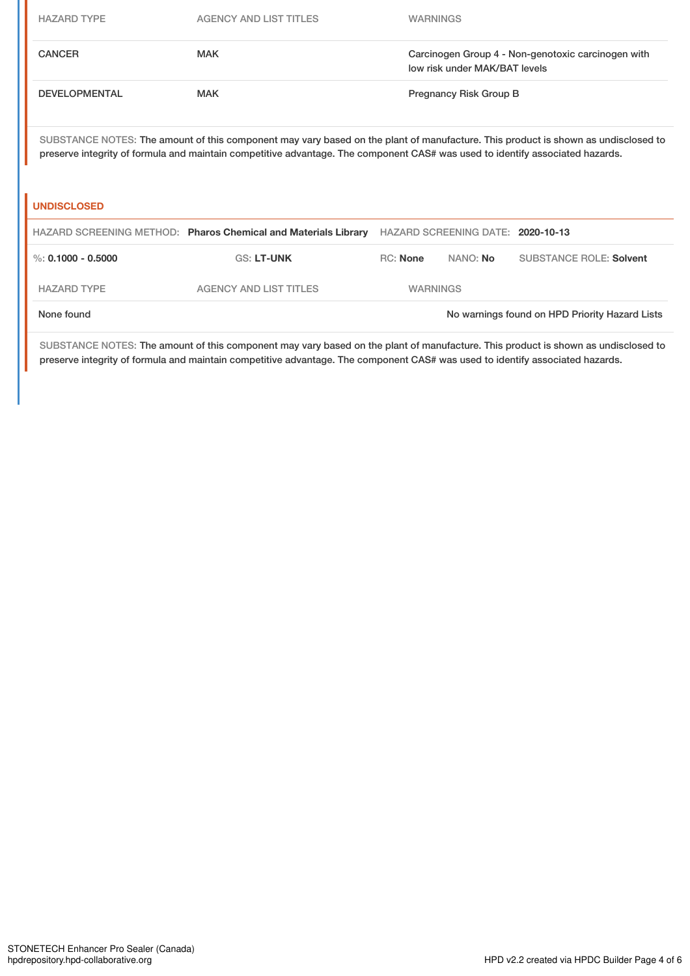| <b>HAZARD TYPE</b>   | <b>AGENCY AND LIST TITLES</b>                                                                                                                                                                                                                                      | <b>WARNINGS</b>                                                                     |                                   |                                                |
|----------------------|--------------------------------------------------------------------------------------------------------------------------------------------------------------------------------------------------------------------------------------------------------------------|-------------------------------------------------------------------------------------|-----------------------------------|------------------------------------------------|
| <b>CANCER</b>        | <b>MAK</b>                                                                                                                                                                                                                                                         | Carcinogen Group 4 - Non-genotoxic carcinogen with<br>low risk under MAK/BAT levels |                                   |                                                |
| <b>DEVELOPMENTAL</b> | <b>MAK</b>                                                                                                                                                                                                                                                         |                                                                                     | Pregnancy Risk Group B            |                                                |
| <b>UNDISCLOSED</b>   | SUBSTANCE NOTES: The amount of this component may vary based on the plant of manufacture. This product is shown as undisclosed to<br>preserve integrity of formula and maintain competitive advantage. The component CAS# was used to identify associated hazards. |                                                                                     |                                   |                                                |
|                      | HAZARD SCREENING METHOD: Pharos Chemical and Materials Library                                                                                                                                                                                                     |                                                                                     | HAZARD SCREENING DATE: 2020-10-13 |                                                |
| %: $0.1000 - 0.5000$ | <b>GS: LT-UNK</b>                                                                                                                                                                                                                                                  | <b>RC:</b> None                                                                     | NANO: No                          | <b>SUBSTANCE ROLE: Solvent</b>                 |
| <b>HAZARD TYPE</b>   | <b>AGENCY AND LIST TITLES</b>                                                                                                                                                                                                                                      | <b>WARNINGS</b>                                                                     |                                   |                                                |
| None found           |                                                                                                                                                                                                                                                                    |                                                                                     |                                   | No warnings found on HPD Priority Hazard Lists |

SUBSTANCE NOTES: The amount of this component may vary based on the plant of manufacture. This product is shown as undisclosed to preserve integrity of formula and maintain competitive advantage. The component CAS# was used to identify associated hazards.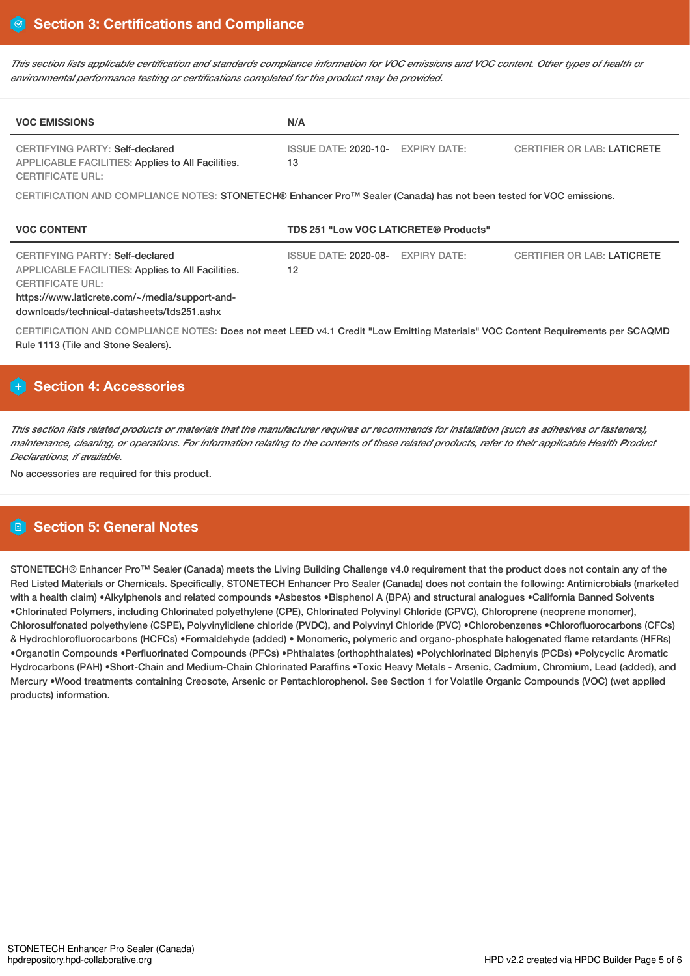This section lists applicable certification and standards compliance information for VOC emissions and VOC content. Other types of health or *environmental performance testing or certifications completed for the product may be provided.*

| <b>VOC EMISSIONS</b>                                                                                                                                                                                            | N/A                                                                                            |  |  |  |
|-----------------------------------------------------------------------------------------------------------------------------------------------------------------------------------------------------------------|------------------------------------------------------------------------------------------------|--|--|--|
| CERTIFYING PARTY: Self-declared<br>APPLICABLE FACILITIES: Applies to All Facilities.<br><b>CERTIFICATE URL:</b>                                                                                                 | <b>EXPIRY DATE:</b><br><b>CERTIFIER OR LAB: LATICRETE</b><br><b>ISSUE DATE: 2020-10-</b><br>13 |  |  |  |
| CERTIFICATION AND COMPLIANCE NOTES: STONETECH® Enhancer Pro™ Sealer (Canada) has not been tested for VOC emissions.                                                                                             |                                                                                                |  |  |  |
| <b>VOC CONTENT</b>                                                                                                                                                                                              | TDS 251 "Low VOC LATICRETE® Products"                                                          |  |  |  |
| CERTIFYING PARTY: Self-declared<br>APPLICABLE FACILITIES: Applies to All Facilities.<br><b>CERTIFICATE URL:</b><br>https://www.laticrete.com/~/media/support-and-<br>downloads/technical-datasheets/tds251.ashx | <b>CERTIFIER OR LAB: LATICRETE</b><br><b>ISSUE DATE: 2020-08-</b><br>EXPIRY DATE:<br>12        |  |  |  |
| CERTIFICATION AND COMPLIANCE NOTES: Does not meet LEED v4.1 Credit "Low Emitting Materials" VOC Content Requirements per SCAQMD<br>Rule 1113 (Tile and Stone Sealers).                                          |                                                                                                |  |  |  |

# **Section 4: Accessories**

This section lists related products or materials that the manufacturer requires or recommends for installation (such as adhesives or fasteners), maintenance, cleaning, or operations. For information relating to the contents of these related products, refer to their applicable Health Product *Declarations, if available.*

No accessories are required for this product.

# **Section 5: General Notes**

STONETECH® Enhancer Pro™ Sealer (Canada) meets the Living Building Challenge v4.0 requirement that the product does not contain any of the Red Listed Materials or Chemicals. Specifically, STONETECH Enhancer Pro Sealer (Canada) does not contain the following: Antimicrobials (marketed with a health claim) •Alkylphenols and related compounds •Asbestos •Bisphenol A (BPA) and structural analogues •California Banned Solvents •Chlorinated Polymers, including Chlorinated polyethylene (CPE), Chlorinated Polyvinyl Chloride (CPVC), Chloroprene (neoprene monomer), Chlorosulfonated polyethylene (CSPE), Polyvinylidiene chloride (PVDC), and Polyvinyl Chloride (PVC) •Chlorobenzenes •Chlorofluorocarbons (CFCs) & Hydrochlorofluorocarbons (HCFCs) •Formaldehyde (added) • Monomeric, polymeric and organo-phosphate halogenated flame retardants (HFRs) •Organotin Compounds •Perfluorinated Compounds (PFCs) •Phthalates (orthophthalates) •Polychlorinated Biphenyls (PCBs) •Polycyclic Aromatic Hydrocarbons (PAH) •Short-Chain and Medium-Chain Chlorinated Paraffins •Toxic Heavy Metals - Arsenic, Cadmium, Chromium, Lead (added), and Mercury •Wood treatments containing Creosote, Arsenic or Pentachlorophenol. See Section 1 for Volatile Organic Compounds (VOC) (wet applied products) information.